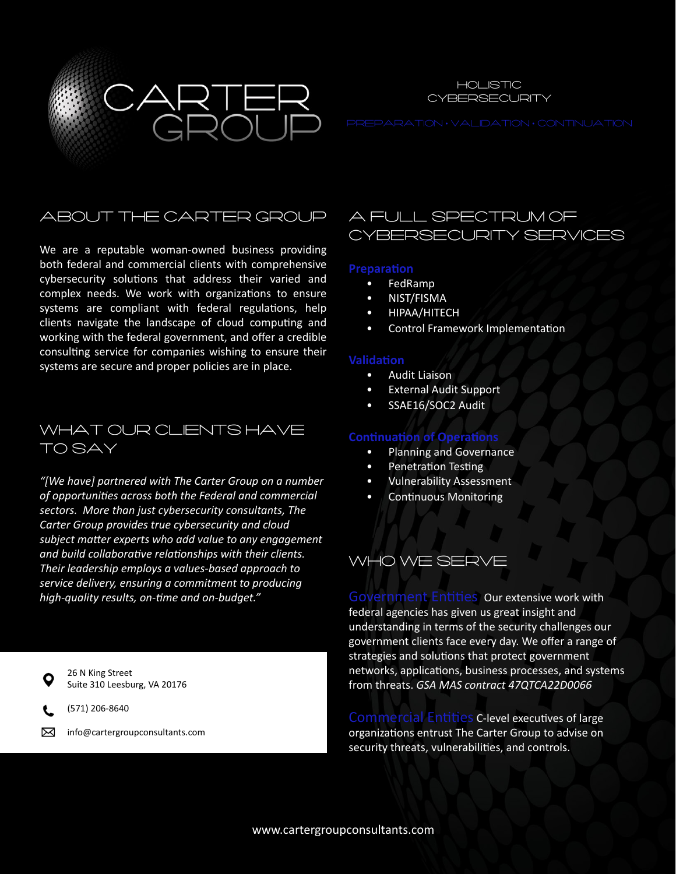



## About the Carter Group

We are a reputable woman-owned business providing both federal and commercial clients with comprehensive cybersecurity solutions that address their varied and complex needs. We work with organizations to ensure systems are compliant with federal regulations, help clients navigate the landscape of cloud computing and working with the federal government, and offer a credible consulting service for companies wishing to ensure their systems are secure and proper policies are in place.

## WHAT OUR CLIENTS HAVE To Say

*"[We have] partnered with The Carter Group on a number of opportunities across both the Federal and commercial sectors. More than just cybersecurity consultants, The Carter Group provides true cybersecurity and cloud subject matter experts who add value to any engagement and build collaborative relationships with their clients. Their leadership employs a values-based approach to service delivery, ensuring a commitment to producing high-quality results, on-time and on-budget."* 

26 N King Street Suite 310 Leesburg, VA 20176

(571) 206-8640

⊠ info@cartergroupconsultants.com

## a full spectrum of Cybersecurity Services

#### **Preparation**

- FedRamp
- NIST/FISMA
- HIPAA/HITECH
- Control Framework Implementation

### **Validation**

- Audit Liaison
- External Audit Support
- SSAE16/SOC2 Audit

### **Continuation of Operations**

- Planning and Governance
- Penetration Testing
- Vulnerability Assessment
- Continuous Monitoring

# Who We Serve

Government Entities Our extensive work with federal agencies has given us great insight and understanding in terms of the security challenges our government clients face every day. We offer a range of strategies and solutions that protect government networks, applications, business processes, and systems from threats. *GSA MAS contract 47QTCA22D0066*

Commercial Entities C-level executives of large organizations entrust The Carter Group to advise on security threats, vulnerabilities, and controls.